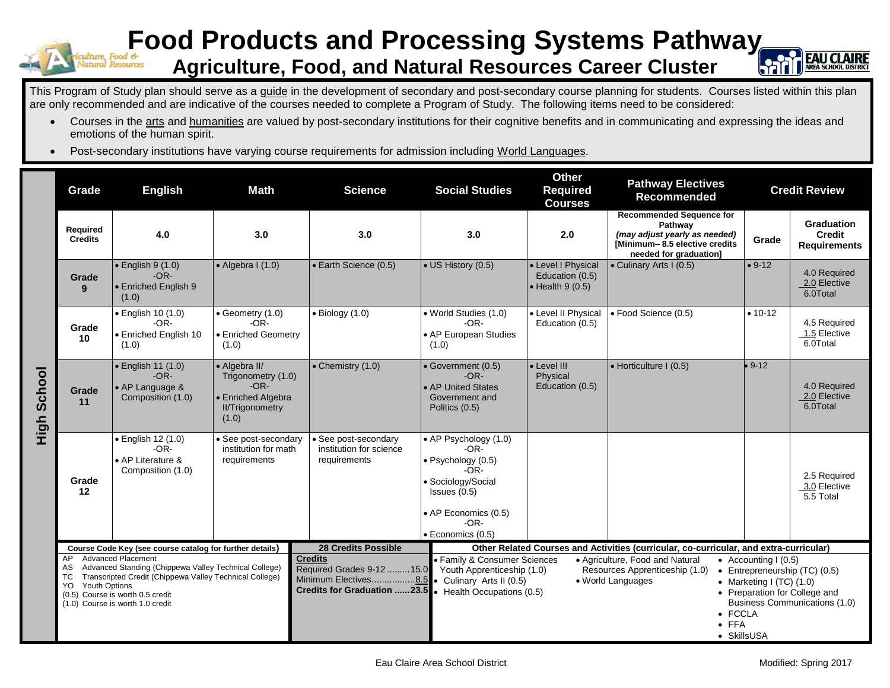

## **Food Products and Processing Systems Pathway Agriculture, Food, and Natural Resources Career Cluster**



This Program of Study plan should serve as a guide in the development of secondary and post-secondary course planning for students. Courses listed within this plan are only recommended and are indicative of the courses needed to complete a Program of Study. The following items need to be considered:

- Courses in the arts and humanities are valued by post-secondary institutions for their cognitive benefits and in communicating and expressing the ideas and emotions of the human spirit.
- Post-secondary institutions have varying course requirements for admission including World Languages.

|                | Grade                                                                                  | <b>English</b>                                                                                                                                                                                                        | <b>Math</b>                                                                                            | <b>Science</b>                                                      | <b>Social Studies</b>                                                                                                                                        | <b>Other</b><br><b>Required</b><br><b>Courses</b>                 | <b>Pathway Electives</b><br><b>Recommended</b>                                                                                                | <b>Credit Review</b>                                              |                                                                                                 |
|----------------|----------------------------------------------------------------------------------------|-----------------------------------------------------------------------------------------------------------------------------------------------------------------------------------------------------------------------|--------------------------------------------------------------------------------------------------------|---------------------------------------------------------------------|--------------------------------------------------------------------------------------------------------------------------------------------------------------|-------------------------------------------------------------------|-----------------------------------------------------------------------------------------------------------------------------------------------|-------------------------------------------------------------------|-------------------------------------------------------------------------------------------------|
|                | Required<br><b>Credits</b>                                                             | 4.0                                                                                                                                                                                                                   | 3.0                                                                                                    | 3.0                                                                 | 3.0                                                                                                                                                          | 2.0                                                               | <b>Recommended Sequence for</b><br>Pathway<br>(may adjust yearly as needed)<br><b>IMinimum-8.5 elective credits</b><br>needed for graduation] | Grade                                                             | <b>Graduation</b><br><b>Credit</b><br><b>Requirements</b>                                       |
|                | Grade<br>9                                                                             | $\bullet$ English 9 (1.0)<br>$-OR-$<br>• Enriched English 9<br>(1.0)                                                                                                                                                  | $\bullet$ Algebra I (1.0)                                                                              | • Earth Science (0.5)                                               | • US History (0.5)                                                                                                                                           | • Level I Physical<br>Education (0.5)<br>$\bullet$ Health 9 (0.5) | • Culinary Arts I (0.5)                                                                                                                       | $• 9-12$                                                          | 4.0 Required<br>2.0 Elective<br>6.0Total                                                        |
| School<br>High | Grade<br>10                                                                            | $\bullet$ English 10 (1.0)<br>$-OR-$<br>• Enriched English 10<br>(1.0)                                                                                                                                                | $\bullet$ Geometry (1.0)<br>$-OR-$<br>• Enriched Geometry<br>(1.0)                                     | $\bullet$ Biology (1.0)                                             | • World Studies (1.0)<br>$-OR-$<br>• AP European Studies<br>(1.0)                                                                                            | • Level II Physical<br>Education (0.5)                            | · Food Science (0.5)                                                                                                                          | $• 10-12$                                                         | 4.5 Required<br>1.5 Elective<br>6.0Total                                                        |
|                | Grade<br>11                                                                            | $\bullet$ English 11 (1.0)<br>$-OR-$<br>• AP Language &<br>Composition (1.0)                                                                                                                                          | • Algebra II/<br>Trigonometry (1.0)<br>$-OR-$<br>• Enriched Algebra<br><b>II/Trigonometry</b><br>(1.0) | $\bullet$ Chemistry (1.0)                                           | • Government (0.5)<br>$-OR-$<br>• AP United States<br>Government and<br>Politics (0.5)                                                                       | • Level III<br>Physical<br>Education (0.5)                        | • Horticulture I (0.5)                                                                                                                        | $9 - 12$                                                          | 4.0 Required<br>2.0 Elective<br>6.0Total                                                        |
|                | Grade<br>12                                                                            | • English 12 (1.0)<br>$-OR-$<br>• AP Literature &<br>Composition (1.0)                                                                                                                                                | · See post-secondary<br>institution for math<br>requirements                                           | · See post-secondary<br>institution for science<br>requirements     | • AP Psychology (1.0)<br>$-OR-$<br>· Psychology (0.5)<br>$-OR-$<br>· Sociology/Social<br>Issues (0.5)<br>• AP Economics (0.5)<br>$-OR-$<br>· Economics (0.5) |                                                                   |                                                                                                                                               |                                                                   | 2.5 Required<br>3.0 Elective<br>5.5 Total                                                       |
|                | <b>28 Credits Possible</b><br>Course Code Key (see course catalog for further details) |                                                                                                                                                                                                                       |                                                                                                        |                                                                     | Other Related Courses and Activities (curricular, co-curricular, and extra-curricular)                                                                       |                                                                   |                                                                                                                                               |                                                                   |                                                                                                 |
|                | AP<br>AS<br><b>TC</b><br><b>Youth Options</b><br>YO.                                   | <b>Advanced Placement</b><br>Advanced Standing (Chippewa Valley Technical College)<br>Transcripted Credit (Chippewa Valley Technical College)<br>(0.5) Course is worth 0.5 credit<br>(1.0) Course is worth 1.0 credit |                                                                                                        | <b>Credits</b><br>Required Grades 9-12 15.0<br>Minimum Electives8.5 | • Family & Consumer Sciences<br>Youth Apprenticeship (1.0)<br>• Culinary Arts II (0.5)<br>Credits for Graduation 23.5 . Health Occupations (0.5)             |                                                                   | • Agriculture, Food and Natural<br>Resources Apprenticeship (1.0)<br>• World Languages<br>• FCCLA<br>$\bullet$ FFA                            | • Accounting $(0.5)$<br>• Marketing I (TC) $(1.0)$<br>• SkillsUSA | • Entrepreneurship (TC) (0.5)<br>• Preparation for College and<br>Business Communications (1.0) |